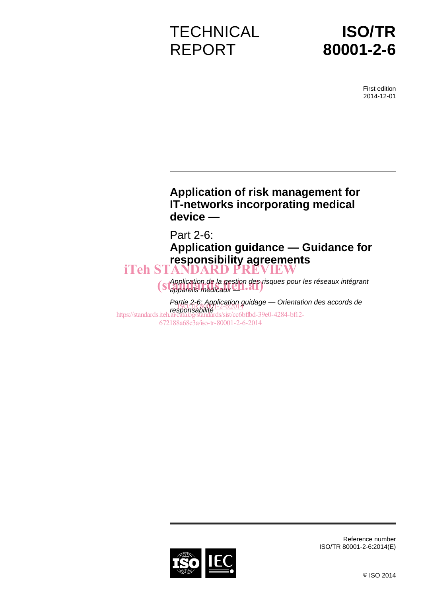# **TECHNICAL** REPORT

# **ISO/TR 80001-2-6**

First edition 2014-12-01

# **Application of risk management for IT-networks incorporating medical device —**

Part 2-6:

**Application guidance — Guidance for responsibility agreements**  iTeh STANDARD PREVIEW

> *Application de la gestion des risques pour les réseaux intégrant S Application de la gestion des rivers de la gestion des rivers de la gestion des rivers de la gestion des rivers de la gestion des rivers de la gestion des rivers de la gestion des rivers de la gestion des rivers de la*

*Partie 2-6: Application guidage — Orientation des accords de r* autre *FR*80001-2-6:2014 https://standards.iteh.ai/catalog/standards/sist/cc6bffbd-39e0-4284-bf12-672188a68c3a/iso-tr-80001-2-6-2014



Reference number ISO/TR 80001-2-6:2014(E)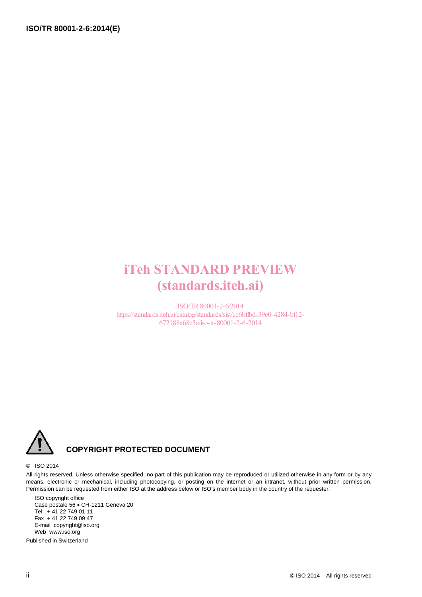# iTeh STANDARD PREVIEW (standards.iteh.ai)

ISO/TR80001-2-6:2014 https://standards.iteh.ai/catalog/standards/sist/cc6bffbd-39e0-4284-bf12- 672188a68c3a/iso-tr-80001-2-6-2014



# **COPYRIGHT PROTECTED DOCUMENT**

#### © ISO 2014

All rights reserved. Unless otherwise specified, no part of this publication may be reproduced or utilized otherwise in any form or by any means, electronic or mechanical, including photocopying, or posting on the internet or an intranet, without prior written permission. Permission can be requested from either ISO at the address below or ISO's member body in the country of the requester.

ISO copyright office Case postale 56 · CH-1211 Geneva 20 Tel. + 41 22 749 01 11 Fax + 41 22 749 09 47 E-mail copyright@iso.org Web www.iso.org

Published in Switzerland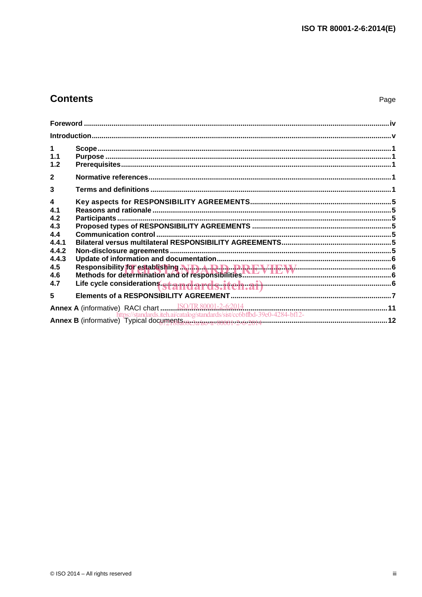# **Contents**

| 1<br>1.1<br>1.2                                              |                                                                                     |  |
|--------------------------------------------------------------|-------------------------------------------------------------------------------------|--|
| $\overline{2}$                                               |                                                                                     |  |
| 3                                                            |                                                                                     |  |
| $\overline{\mathbf{4}}$<br>4.1<br>4.2<br>4.3<br>4.4<br>4.4.1 |                                                                                     |  |
| 4.4.2<br>4.4.3<br>4.5<br>4.6<br>4.7                          | Life cycle considerations standards.itch.ai) <b>www.communically.communically</b> 6 |  |
| 5                                                            |                                                                                     |  |
|                                                              |                                                                                     |  |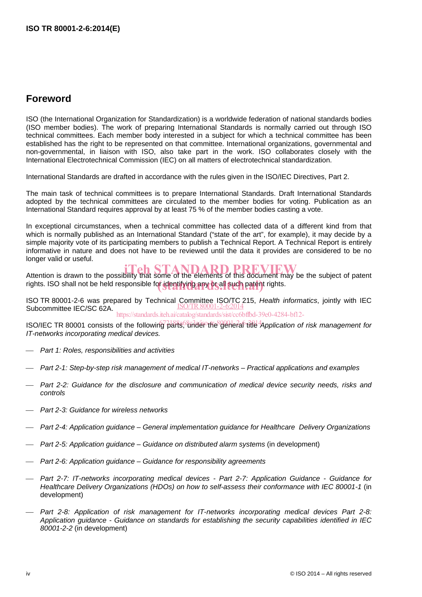# **Foreword**

ISO (the International Organization for Standardization) is a worldwide federation of national standards bodies (ISO member bodies). The work of preparing International Standards is normally carried out through ISO technical committees. Each member body interested in a subject for which a technical committee has been established has the right to be represented on that committee. International organizations, governmental and non-governmental, in liaison with ISO, also take part in the work. ISO collaborates closely with the International Electrotechnical Commission (IEC) on all matters of electrotechnical standardization.

International Standards are drafted in accordance with the rules given in the ISO/IEC Directives, Part 2.

The main task of technical committees is to prepare International Standards. Draft International Standards adopted by the technical committees are circulated to the member bodies for voting. Publication as an International Standard requires approval by at least 75 % of the member bodies casting a vote.

In exceptional circumstances, when a technical committee has collected data of a different kind from that which is normally published as an International Standard ("state of the art", for example), it may decide by a simple majority vote of its participating members to publish a Technical Report. A Technical Report is entirely informative in nature and does not have to be reviewed until the data it provides are considered to be no longer valid or useful.

Attention is drawn to the possibility that some of the elements of this document may be the subject of patent rights. ISO shall not be held responsible for identifying any or all such patent rights.

ISO TR 80001-2-6 was prepared by Technical Committee ISO/TC 215, *Health informatics*, jointly with IEC ISO/TR80001-2-6:2014 Subcommittee IEC/SC 62A. https://standards.iteh.ai/catalog/standards/sist/cc6bffbd-39e0-4284-bf12-

ISO/IEC TR 80001 consists of the following parts, the deteroir of the *Application of risk management for IT-networks incorporating medical devices.*

- *Part 1: Roles, responsibilities and activities*
- *Part 2-1: Step-by-step risk management of medical IT-networks Practical applications and examples*
- *Part 2-2: Guidance for the disclosure and communication of medical device security needs, risks and controls*
- *Part 2-3: Guidance for wireless networks*
- *Part 2-4: Application guidance General implementation guidance for Healthcare Delivery Organizations*
- *Part 2-5: Application guidance Guidance on distributed alarm systems (in development)*
- *Part 2-6: Application guidance Guidance for responsibility agreements*
- *Part 2-7: IT-networks incorporating medical devices Part 2-7: Application Guidance Guidance for Healthcare Delivery Organizations (HDOs) on how to self-assess their conformance with IEC 80001-1* (in development)
- Part 2-8: Application of risk management for IT-networks incorporating medical devices Part 2-8: *Application guidance - Guidance on standards for establishing the security capabilities identified in IEC 80001-2-2* (in development)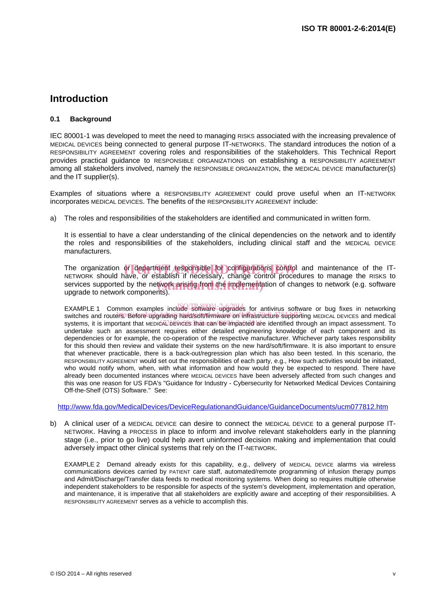# **Introduction**

#### **0.1 Background**

IEC 80001-1 was developed to meet the need to managing RISKS associated with the increasing prevalence of MEDICAL DEVICES being connected to general purpose IT-NETWORKS. The standard introduces the notion of a RESPONSIBILITY AGREEMENT covering roles and responsibilities of the stakeholders. This Technical Report provides practical guidance to RESPONSIBLE ORGANIZATIONS on establishing a RESPONSIBILITY AGREEMENT among all stakeholders involved, namely the RESPONSIBLE ORGANIZATION, the MEDICAL DEVICE manufacturer(s) and the IT supplier(s).

Examples of situations where a RESPONSIBILITY AGREEMENT could prove useful when an IT-NETWORK incorporates MEDICAL DEVICES. The benefits of the RESPONSIBILITY AGREEMENT include:

a) The roles and responsibilities of the stakeholders are identified and communicated in written form.

It is essential to have a clear understanding of the clinical dependencies on the network and to identify the roles and responsibilities of the stakeholders, including clinical staff and the MEDICAL DEVICE manufacturers.

The organization or department responsible for configurations control and maintenance of the IT-<br>NETWORK should have or establish if necessary change control procedures to manage the RISKS to NETWORK should have, or establish if necessary, change control procedures to manage the RISKS to services supported by the network arising from the implementation of changes to network (e.g. software uporade to network components). upgrade to network components).

EXAMPLE 1 Common examples include Software upgrades for antivirus software or bug fixes in networking switches and routers. Before upgrading hard/soft/firmware/on infrastructure supporting MEDICAL DEVICES and medical systems, it is important that мEDIGALDEVICES that can be limpacted are identified through an impact assessment. To undertake such an assessment requires either detailed engineering knowledge of each component and its dependencies or for example, the co-operation of the respective manufacturer. Whichever party takes responsibility for this should then review and validate their systems on the new hard/soft/firmware. It is also important to ensure that whenever practicable, there is a back-out/regression plan which has also been tested. In this scenario, the RESPONSIBILITY AGREEMENT would set out the responsibilities of each party, e.g., How such activities would be initiated, who would notify whom, when, with what information and how would they be expected to respond. There have already been documented instances where MEDICAL DEVICES have been adversely affected from such changes and this was one reason for US FDA's "Guidance for Industry - Cybersecurity for Networked Medical Devices Containing Off-the-Shelf (OTS) Software." See:

http://www.fda.gov/MedicalDevices/DeviceRegulationandGuidance/GuidanceDocuments/ucm077812.htm

b) A clinical user of a MEDICAL DEVICE can desire to connect the MEDICAL DEVICE to a general purpose IT-NETWORK. Having a PROCESS in place to inform and involve relevant stakeholders early in the planning stage (i.e., prior to go live) could help avert uninformed decision making and implementation that could adversely impact other clinical systems that rely on the IT-NETWORK.

EXAMPLE 2 Demand already exists for this capability, e.g., delivery of MEDICAL DEVICE alarms via wireless communications devices carried by PATIENT care staff, automated/remote programming of infusion therapy pumps and Admit/Discharge/Transfer data feeds to medical monitoring systems. When doing so requires multiple otherwise independent stakeholders to be responsible for aspects of the system's development, implementation and operation, and maintenance, it is imperative that all stakeholders are explicitly aware and accepting of their responsibilities. A RESPONSIBILITY AGREEMENT serves as a vehicle to accomplish this.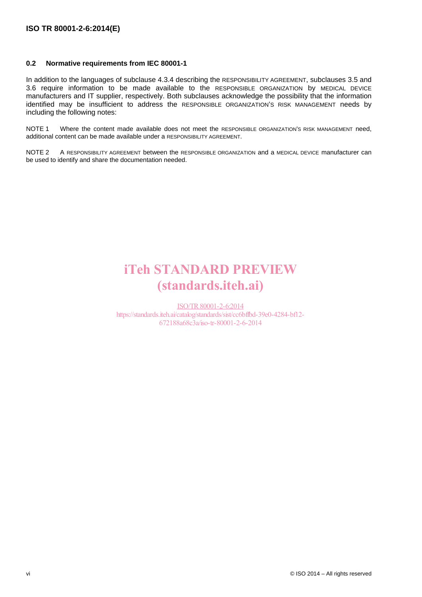#### **0.2 Normative requirements from IEC 80001-1**

In addition to the languages of subclause 4.3.4 describing the RESPONSIBILITY AGREEMENT, subclauses 3.5 and 3.6 require information to be made available to the RESPONSIBLE ORGANIZATION by MEDICAL DEVICE manufacturers and IT supplier, respectively. Both subclauses acknowledge the possibility that the information identified may be insufficient to address the RESPONSIBLE ORGANIZATION'S RISK MANAGEMENT needs by including the following notes:

NOTE 1 Where the content made available does not meet the RESPONSIBLE ORGANIZATION'S RISK MANAGEMENT need, additional content can be made available under a RESPONSIBILITY AGREEMENT.

NOTE 2 A RESPONSIBILITY AGREEMENT between the RESPONSIBLE ORGANIZATION and a MEDICAL DEVICE manufacturer can be used to identify and share the documentation needed.

# iTeh STANDARD PREVIEW (standards.iteh.ai)

ISO/TR80001-2-6:2014 https://standards.iteh.ai/catalog/standards/sist/cc6bffbd-39e0-4284-bf12- 672188a68c3a/iso-tr-80001-2-6-2014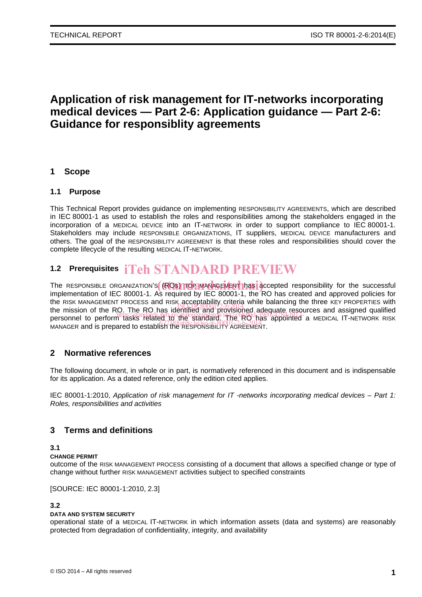# **Application of risk management for IT-networks incorporating medical devices — Part 2-6: Application guidance — Part 2-6: Guidance for responsiblity agreements**

## **1 Scope**

### **1.1 Purpose**

This Technical Report provides guidance on implementing RESPONSIBILITY AGREEMENTS, which are described in IEC 80001-1 as used to establish the roles and responsibilities among the stakeholders engaged in the incorporation of a MEDICAL DEVICE into an IT-NETWORK in order to support compliance to IEC 80001-1. Stakeholders may include RESPONSIBLE ORGANIZATIONS, IT suppliers, MEDICAL DEVICE manufacturers and others. The goal of the RESPONSIBILITY AGREEMENT is that these roles and responsibilities should cover the complete lifecycle of the resulting MEDICAL IT-NETWORK.

# **1.2 Prerequisites**  iTeh STANDARD PREVIEW

The RESPONSIBLE ORGANIZATION'S (ROS) TOP MANAGEMENT has accepted responsibility for the successful<br>implementation of IEC 80001.1, Ac required by IEC 80001.1, the BO bee spected and approved policies for implementation of IEC 80001-1. As required by IEC 80001-1, the RO has created and approved policies for the RISK MANAGEMENT PROCESS and RISK acceptability criteria while balancing the three KEY PROPERTIES with the mission of the RO. The RO has identified and provisioned adequate resources and assigned qualified the mission of the RO. The RO has identified and provisioned adequate resources and assigned qualified the mission of the RO. The RO has identified and provisioned adequate resources and assigned qualified<br>personnel to perform tasks related to the standard. The RO has appointed a MEDICAL IT-NETWORK RISK personner to perform tasks related by the standard. The Responsibility of the Spanish the Responsibility Agreement.

# **2 Normative references**

The following document, in whole or in part, is normatively referenced in this document and is indispensable for its application. As a dated reference, only the edition cited applies.

IEC 80001-1:2010, *Application of risk management for IT -networks incorporating medical devices – Part 1: Roles, responsibilities and activities*

# **3 Terms and definitions**

#### **3.1**

#### **CHANGE PERMIT**

outcome of the RISK MANAGEMENT PROCESS consisting of a document that allows a specified change or type of change without further RISK MANAGEMENT activities subject to specified constraints

[SOURCE: IEC 80001-1:2010, 2.3]

#### **3.2**

#### **DATA AND SYSTEM SECURITY**

operational state of a MEDICAL IT-NETWORK in which information assets (data and systems) are reasonably protected from degradation of confidentiality, integrity, and availability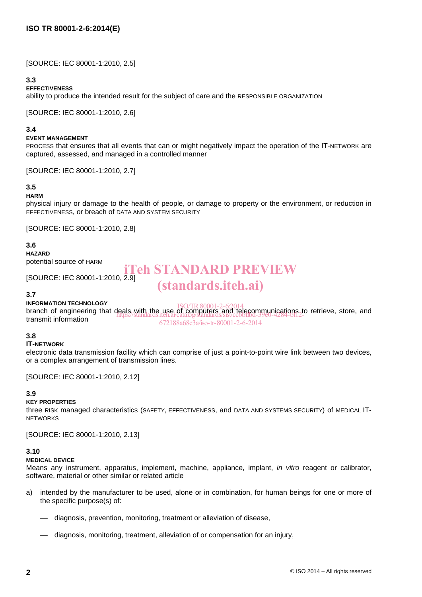[SOURCE: IEC 80001-1:2010, 2.5]

#### **3.3**

#### **EFFECTIVENESS**

ability to produce the intended result for the subject of care and the RESPONSIBLE ORGANIZATION

[SOURCE: IEC 80001-1:2010, 2.6]

#### **3.4**

#### **EVENT MANAGEMENT**

PROCESS that ensures that all events that can or might negatively impact the operation of the IT-NETWORK are captured, assessed, and managed in a controlled manner

[SOURCE: IEC 80001-1:2010, 2.7]

### **3.5**

#### **HARM**

physical injury or damage to the health of people, or damage to property or the environment, or reduction in EFFECTIVENESS, or breach of DATA AND SYSTEM SECURITY

[SOURCE: IEC 80001-1:2010, 2.8]

#### **3.6**

**HAZARD**

potential source of HARM

[SOURCE: IEC 80001-1:2010, 2.9]

# iTeh STANDARD PREVIEW (standards.iteh.ai)

#### **3.7**

**INFORMATION TECHNOLOGY**

INFORMATION TECHNOLOGY<br>branch of engineering that deals with the use of computers and telecommunications to retrieve, store, and transmit information https://standards.iteh.ai/catalog/standards/sist/cc6bffbd-39e0-4284-bf12- 672188a68c3a/iso-tr-80001-2-6-2014

#### **3.8**

#### **IT-NETWORK**

electronic data transmission facility which can comprise of just a point-to-point wire link between two devices, or a complex arrangement of transmission lines.

[SOURCE: IEC 80001-1:2010, 2.12]

#### **3.9**

#### **KEY PROPERTIES**

three RISK managed characteristics (SAFETY, EFFECTIVENESS, and DATA AND SYSTEMS SECURITY) of MEDICAL IT-**NETWORKS** 

[SOURCE: IEC 80001-1:2010, 2.13]

#### **3.10**

#### **MEDICAL DEVICE**

Means any instrument, apparatus, implement, machine, appliance, implant, *in vitro* reagent or calibrator, software, material or other similar or related article

- a) intended by the manufacturer to be used, alone or in combination, for human beings for one or more of the specific purpose(s) of:
	- diagnosis, prevention, monitoring, treatment or alleviation of disease,
	- diagnosis, monitoring, treatment, alleviation of or compensation for an injury,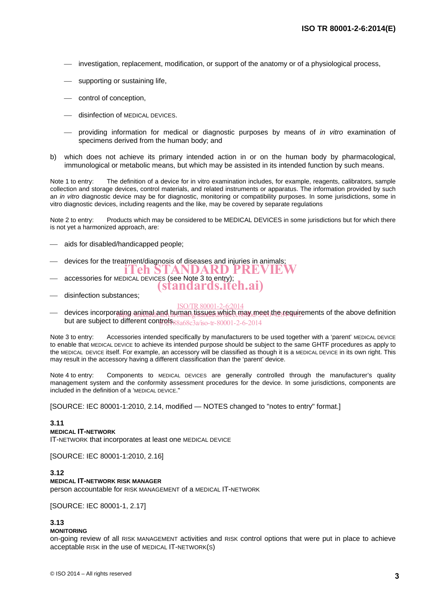- investigation, replacement, modification, or support of the anatomy or of a physiological process,
- supporting or sustaining life,
- control of conception,
- disinfection of MEDICAL DEVICES.
- providing information for medical or diagnostic purposes by means of *in vitro* examination of specimens derived from the human body; and
- b) which does not achieve its primary intended action in or on the human body by pharmacological, immunological or metabolic means, but which may be assisted in its intended function by such means.

Note 1 to entry: The definition of a device for in vitro examination includes, for example, reagents, calibrators, sample collection and storage devices, control materials, and related instruments or apparatus. The information provided by such an *in vitro* diagnostic device may be for diagnostic, monitoring or compatibility purposes. In some jurisdictions, some in vitro diagnostic devices, including reagents and the like, may be covered by separate regulations

Note 2 to entry: Products which may be considered to be MEDICAL DEVICES in some jurisdictions but for which there is not yet a harmonized approach, are:

- aids for disabled/handicapped people;
- devices for the treatment/diagnosis of diseases and injuries in animals;
- accessories for MEDICAL DEVICES (see Note 3 to entry); 'eh STANDARD PREVIE
- (standards.iteh.ai)
- disinfection substances;

#### ISO/TR80001-2-6:2014

— devices incorporating animal and human tissues which may meet the requirements of the above definition but are subject to different controls  $88a68c3a/\text{iso-tr}-80001$ -2-6-2014

Note 3 to entry: Accessories intended specifically by manufacturers to be used together with a 'parent' MEDICAL DEVICE to enable that MEDICAL DEVICE to achieve its intended purpose should be subject to the same GHTF procedures as apply to the MEDICAL DEVICE itself. For example, an accessory will be classified as though it is a MEDICAL DEVICE in its own right. This may result in the accessory having a different classification than the 'parent' device.

Note 4 to entry: Components to MEDICAL DEVICES are generally controlled through the manufacturer's quality management system and the conformity assessment procedures for the device. In some jurisdictions, components are included in the definition of a 'MEDICAL DEVICE."

[SOURCE: IEC 80001-1:2010, 2.14, modified — NOTES changed to "notes to entry" format.]

#### **3.11**

#### **MEDICAL IT-NETWORK**

IT-NETWORK that incorporates at least one MEDICAL DEVICE

[SOURCE: IEC 80001-1:2010, 2.16]

#### **3.12**

#### **MEDICAL IT-NETWORK RISK MANAGER**

person accountable for RISK MANAGEMENT of a MEDICAL IT-NETWORK

[SOURCE: IEC 80001-1, 2.17]

### **3.13**

#### **MONITORING**

on-going review of all RISK MANAGEMENT activities and RISK control options that were put in place to achieve acceptable RISK in the use of MEDICAL IT-NETWORK(S)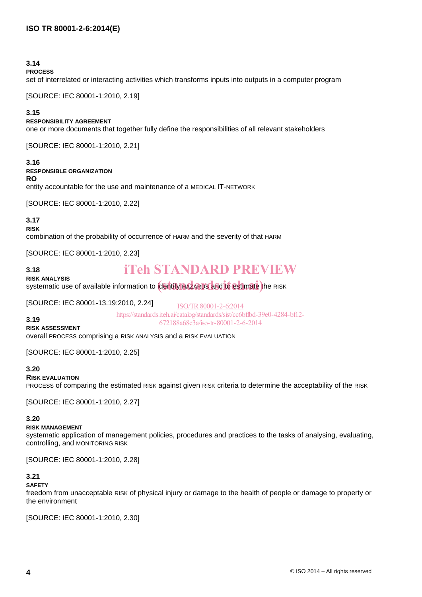#### **3.14**

#### **PROCESS**

set of interrelated or interacting activities which transforms inputs into outputs in a computer program

[SOURCE: IEC 80001-1:2010, 2.19]

#### **3.15**

#### **RESPONSIBILITY AGREEMENT**

one or more documents that together fully define the responsibilities of all relevant stakeholders

[SOURCE: IEC 80001-1:2010, 2.21]

#### **3.16**

#### **RESPONSIBLE ORGANIZATION**

**RO** 

entity accountable for the use and maintenance of a MEDICAL IT-NETWORK

[SOURCE: IEC 80001-1:2010, 2.22]

#### **3.17**

**RISK**

**3.18**

combination of the probability of occurrence of HARM and the severity of that HARM

[SOURCE: IEC 80001-1:2010, 2.23]

# iTeh STANDARD PREVIEW

**RISK ANALYSIS** RISK ANALYSIS<br>systematic use of available information to **identify HAZARDS and to estimate** the RISK

[SOURCE: IEC 80001-13.19:2010, 2.24]

ISO/TR80001-2-6:2014 https://standards.iteh.ai/catalog/standards/sist/cc6bffbd-39e0-4284-bf12- 672188a68c3a/iso-tr-80001-2-6-2014

#### **3.19 RISK ASSESSMENT**

overall PROCESS comprising a RISK ANALYSIS and a RISK EVALUATION

[SOURCE: IEC 80001-1:2010, 2.25]

#### **3.20**

#### **RISK EVALUATION**

PROCESS of comparing the estimated RISK against given RISK criteria to determine the acceptability of the RISK

[SOURCE: IEC 80001-1:2010, 2.27]

### **3.20**

### **RISK MANAGEMENT**

systematic application of management policies, procedures and practices to the tasks of analysing, evaluating, controlling, and MONITORING RISK

[SOURCE: IEC 80001-1:2010, 2.28]

# **3.21**

#### **SAFETY**

freedom from unacceptable RISK of physical injury or damage to the health of people or damage to property or the environment

[SOURCE: IEC 80001-1:2010, 2.30]